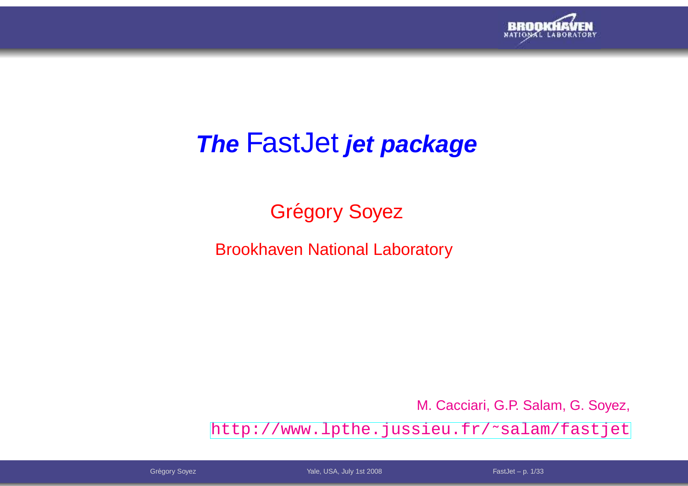

# **The** FastJet **jet package**

## Grégory Soyez

Brookhaven National Laboratory

M. Cacciari, G.P. Salam, G. Soyez,

[http://www](http://www.lpthe.jussieu.fr/~salam/fastjet).[lpthe](http://www.lpthe.jussieu.fr/~salam/fastjet).[jussieu](http://www.lpthe.jussieu.fr/~salam/fastjet).[fr/˜salam/fast](http://www.lpthe.jussieu.fr/~salam/fastjet)jet

Grégory Soyez **FastJet – p. 1/33** The Contract Vale, USA, July 1st 2008 The Contract Contract Contract Contract Contract Contract Contract Contract Contract Contract Contract Contract Contract Contract Contract Contract Co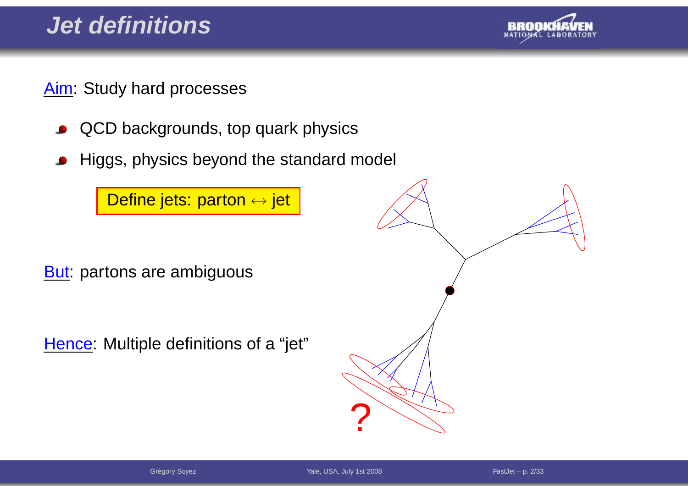

Aim: Study hard processes

- QCD backgrounds, top quark physics $\bullet$
- Higgs, physics beyond the standard model

<mark>Define jets: parton ↔ jet</mark>

**But:** partons are ambiguous

Hence: Multiple definitions of <sup>a</sup> "jet"



Grégory Soyez **FastJet – p. 2/33** The Contract Vale, USA, July 1st 2008 The Contract Contract Contract Contract Contract Contract Contract Contract Contract Contract Contract Contract Contract Contract Contract Contract Co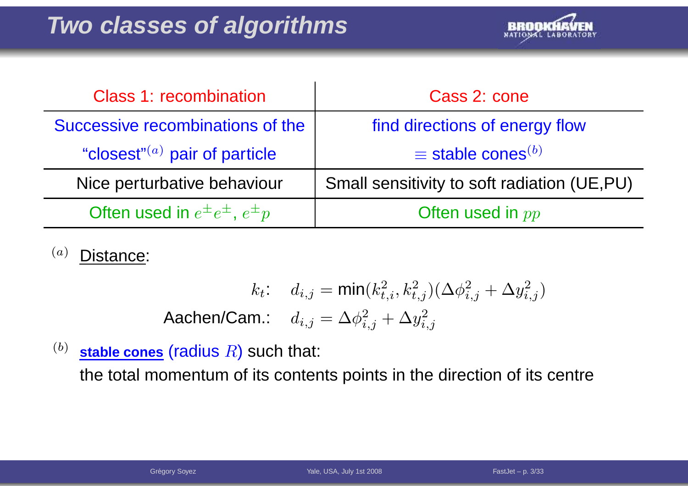

| <b>Class 1: recombination</b>               | Cass 2: cone                                |
|---------------------------------------------|---------------------------------------------|
| Successive recombinations of the            | find directions of energy flow              |
| "closest" $(a)$ pair of particle            | $\equiv$ stable cones <sup>(b)</sup>        |
| Nice perturbative behaviour                 | Small sensitivity to soft radiation (UE,PU) |
| Often used in $e^{\pm}e^{\pm}$ , $e^{\pm}p$ | Often used in $pp$                          |

(a)Distance:

$$
k_t: d_{i,j} = \min(k_{t,i}^2, k_{t,j}^2)(\Delta \phi_{i,j}^2 + \Delta y_{i,j}^2)
$$
  
**Aachen/Cam.**:  $d_{i,j} = \Delta \phi_{i,j}^2 + \Delta y_{i,j}^2$ 

(b) $\frac{1}{2}$  stable cones (radius  $R$ ) such that:

the total momentum of its contents points in the direction of its centre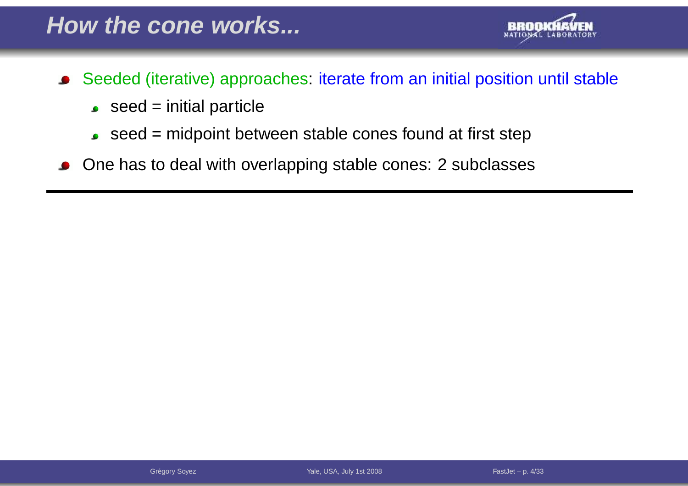

- Seeded (iterative) approaches: iterate from an initial position until stable $\bullet$ 
	- $\bullet$  seed = initial particle
	- $\bullet$  seed = midpoint between stable cones found at first step
- One has to deal with overlapping stable cones: <sup>2</sup> subclasses $\bullet$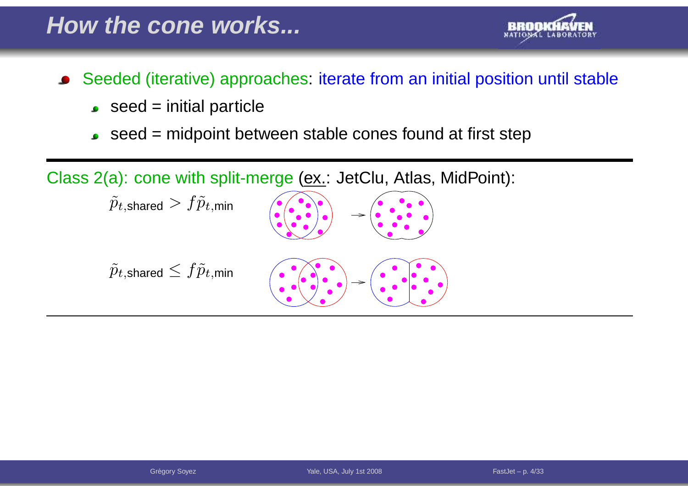### **How the cone works...**



- $\bullet$  seed = initial particle
- $\bullet$  seed = midpoint between stable cones found at first step

 $\textsf{Class 2(a):}$  cone with split-merge ( $\textsf{\underline{ex}}$ .: JetClu, Atlas, MidPoint):

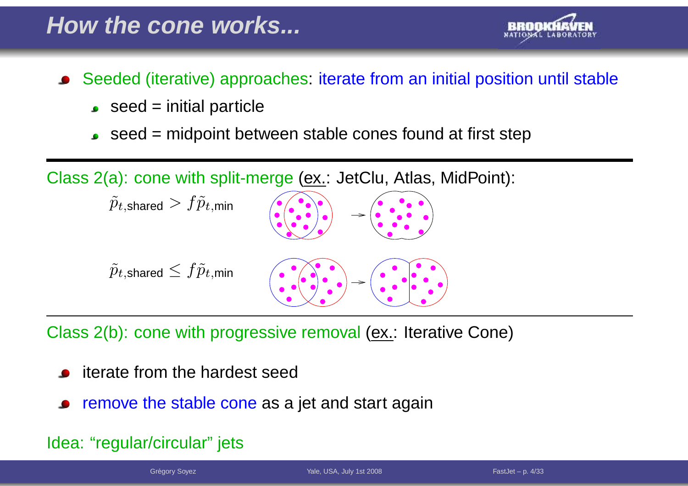

- Seeded (iterative) approaches: iterate from an initial position until stable
	- $\bullet$  seed = initial particle
	- seed <sup>=</sup> midpoint between stable cones found at first step

 $\textsf{Class 2(a):}$  cone with split-merge ( $\textsf{\underline{ex}}$ .: JetClu, Atlas, MidPoint):



Class 2(b): cone with progressive removal (ex.: Iterative Cone)

- iterate from the hardest seed
- remove the stable cone as a jet and start again

#### Idea: "regular/circular" jets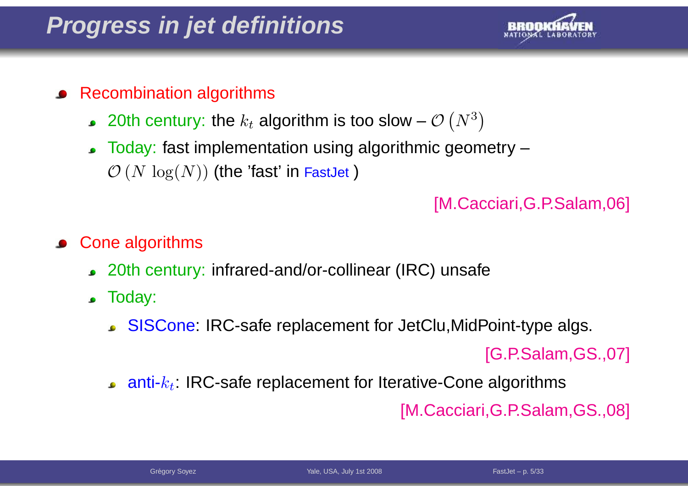### **Progress in jet definitions**



#### Recombination algorithms

- 20th century: the  $k_t$  algorithm is too slow  $\mathcal{O} \left( N^3 \right)$  $^3)$
- Today: fast implementation using algorithmic geometry – $\mathcal{O}\left(N\,\log(N)\right)$  (the 'fast' in FastJet )

#### [M.Cacciari,G.P.Salam,06]

- Cone algorithms
	- 20th century: infrared-and/or-collinear (IRC) unsafe
	- Today:
		- SISCone: IRC-safe replacement for JetClu,MidPoint-type algs.

[G.P.Salam,GS.,07]

anti- $k_t$ : IRC-safe replacement for Iterative-Cone algorithms

[M.Cacciari,G.P.Salam,GS.,08]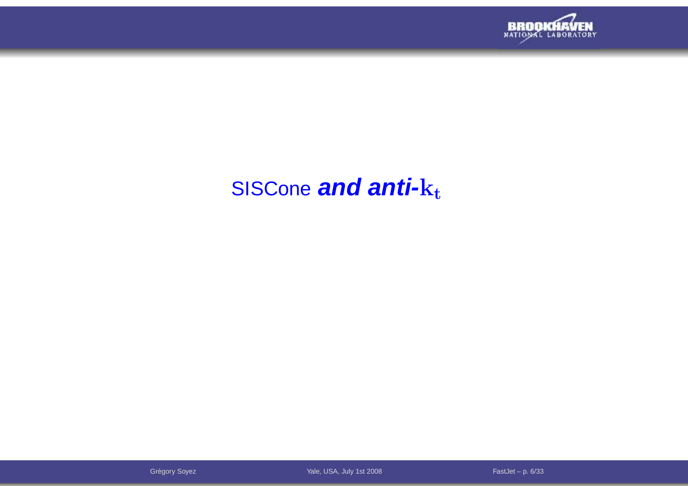

# SISCone **and anti-**k<sup>t</sup>

Grégory Soyez **FastJet – p. 6/33** The Contract Contract Vale, USA, July 1st 2008 The Contract Contract Contract Contract Contract Contract Contract Contract Contract Contract Contract Contract Contract Contract Contract Co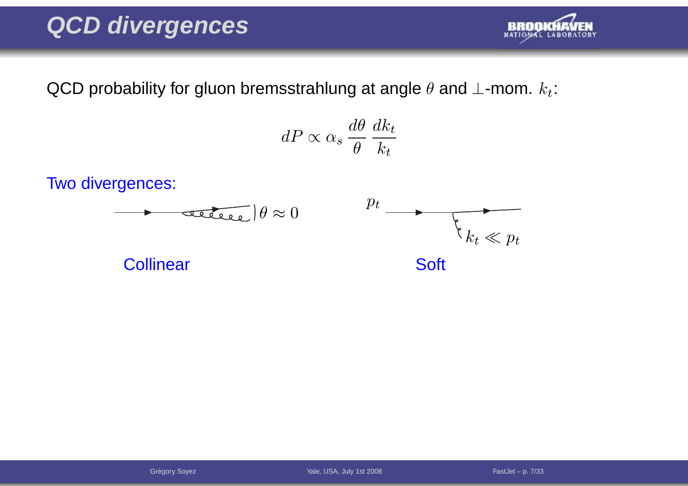### **QCD divergences**



QCD probability for gluon bremsstrahlung at angle  $\theta$  and  $\bot$ -mom.  $k_t$ :

$$
dP \propto \alpha_s \frac{d\theta}{\theta} \frac{dk_t}{k_t}
$$

Two divergences:

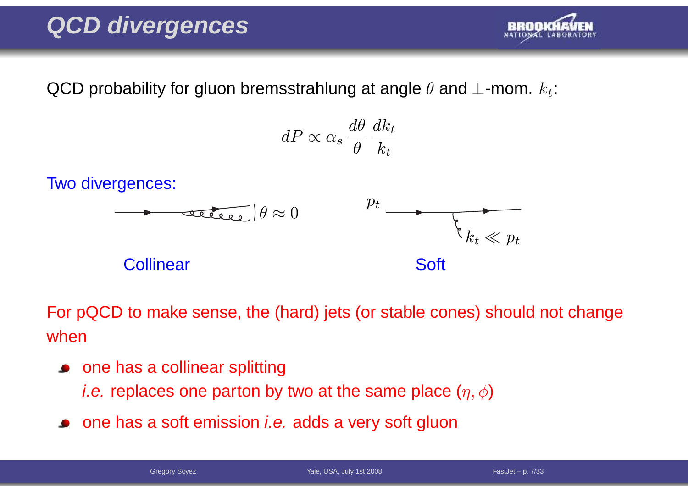### **QCD divergences**



QCD probability for gluon bremsstrahlung at angle  $\theta$  and  $\bot$ -mom.  $k_t$ :

$$
dP \propto \alpha_s \frac{d\theta}{\theta} \frac{dk_t}{k_t}
$$

Two divergences:



For pQCD to make sense, the (hard) jets (or stable cones) should not changewhen

• one has a collinear splitting

*i.e.* replaces one parton by two at the same place  $(\eta,\phi)$ 

one has a soft emission *i.e.* adds a very soft gluon

Grégory Soyez **FastJet – p. 7/33** The Contract Vale, USA, July 1st 2008 The Contract Contract Contract Contract Contract Contract Contract Contract Contract Contract Contract Contract Contract Contract Contract Contract Co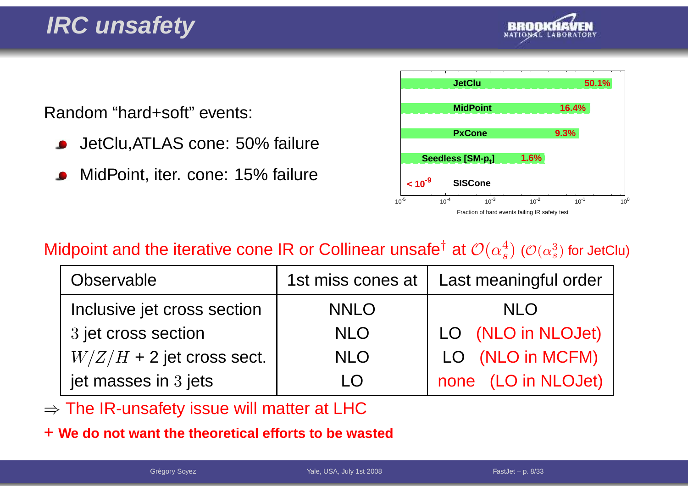

Random "hard+soft" events:

- JetClu,ATLAS cone: 50% failure
- MidPoint, iter. cone: 15% failure



#### Midpoint and the iterative cone IR or Collinear unsafe $^\dagger$  at  ${\cal O}(\alpha_s^4)$  ( ${\cal O}(\alpha_s^3)$  for JetClu)

| Observable                  | 1st miss cones at | Last meaningful order |
|-----------------------------|-------------------|-----------------------|
| Inclusive jet cross section | <b>NNLO</b>       | <b>NLO</b>            |
| 3 jet cross section         | <b>NLO</b>        | LO (NLO in NLOJet)    |
| $W/Z/H$ + 2 jet cross sect. | <b>NLO</b>        | LO (NLO in MCFM)      |
| jet masses in 3 jets        | LO                | none (LO in NLOJet)   |

⇒ The IR-unsafety issue will matter at LHC

+ **We do not want the theoretical efforts to be wasted**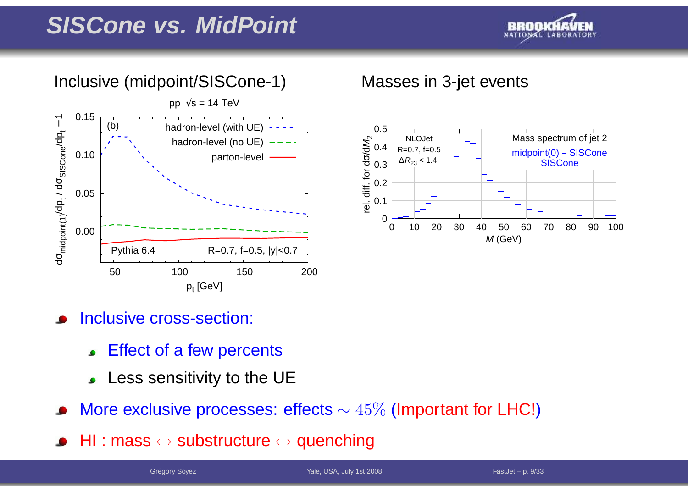### **SISCone vs. MidPoint**



#### Inclusive (midpoint/SISCone-1) Masses in 3-jet events





#### Inclusive cross-section:

- Effect of <sup>a</sup> few percents
- Less sensitivity to the UE
- More exclusive processes: effects  $\sim 45\%$  (Important for LHC!)
- HI : mass ↔ substructure ↔ quenching<br>————————————————————

Grégory Soyez **FastJet – p. 9/33** The Contract Vale, USA, July 1st 2008 The Contract Contract Contract Contract Contract Contract Contract Contract Contract Contract Contract Contract Contract Contract Contract Contract Co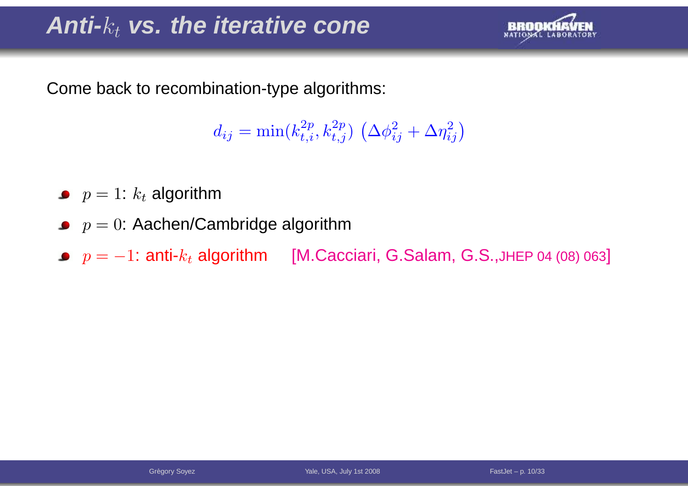# **Anti-**kt **vs. the iterative cone**



Come back to recombination-type algorithms:

 $d_{ij} = \min(k_{t,i}^{2p}, k_{t,j}^{2p}) \left(\Delta \phi_{ij}^2 + \Delta \eta_{ij}^2\right)$ 

- $p=1$ :  $k_t$  algorithm
- $p=0$ : Aachen/Cambridge algorithm
- $p = -1$ : anti- $k_t$  algorithm [M.Cacciari, G.Salam, G.S.,JHEP 04 (08) 063]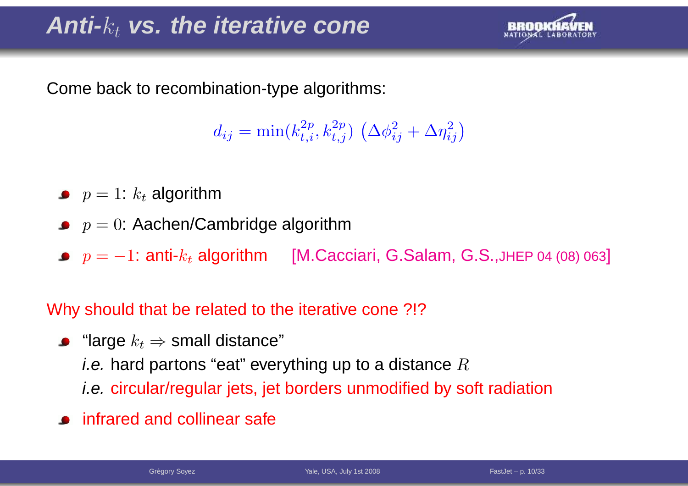# **Anti-**kt **vs. the iterative cone**



Come back to recombination-type algorithms:

 $d_{ij} = \min(k_{t,i}^{2p}, k_{t,j}^{2p}) \left(\Delta \phi_{ij}^2 + \Delta \eta_{ij}^2\right)$ 

- $p=1$ :  $k_t$  algorithm
- $p=0$ : Aachen/Cambridge algorithm
- $p = -1$ : anti- $k_t$  algorithm [M.Cacciari, G.Salam, G.S.,JHEP 04 (08) 063]

Why should that be related to the iterative cone ?!?

- "large  $k_t$  ⇒ small distance"<br>*i* e\_berd pertens "eet" ever *i.e.* hard partons "eat" everything up to a distance  $R$ i.e. circular/regular jets, jet borders unmodified by soft radiation
- infrared and collinear safe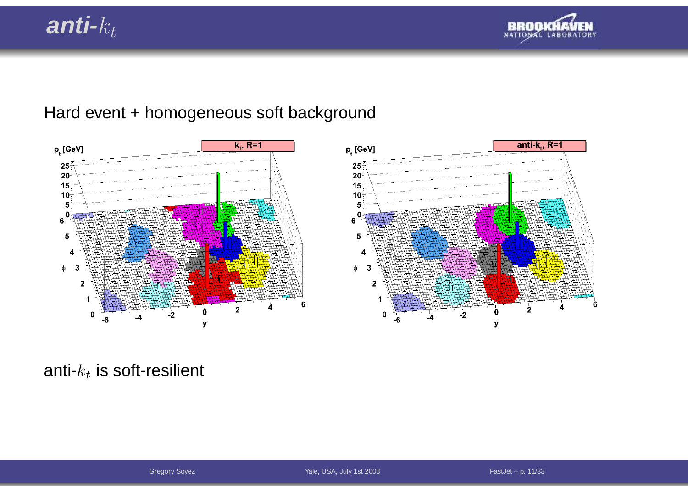### **anti-**kt



#### Hard event <sup>+</sup> homogeneous soft background



anti- $k_t$  is soft-resilient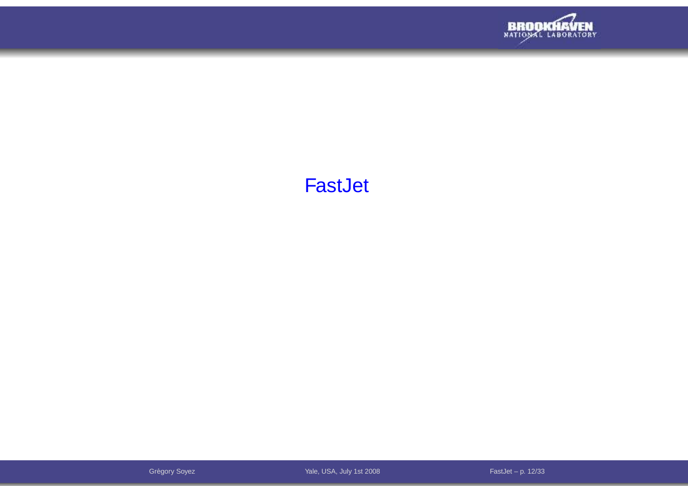

#### FastJet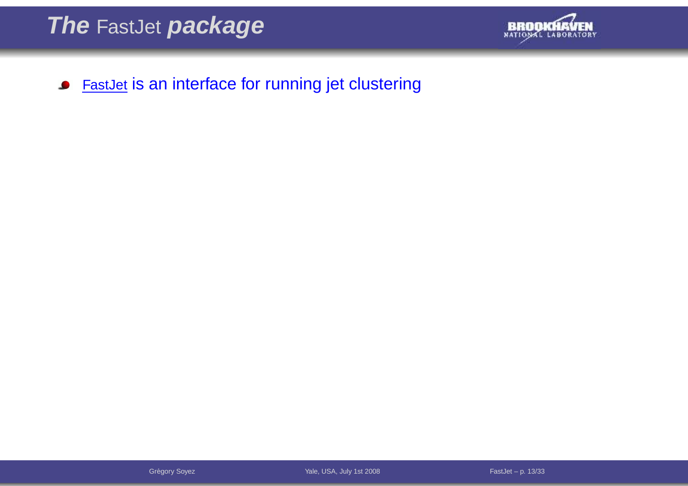

FastJet is an interface for running jet clustering $\bullet$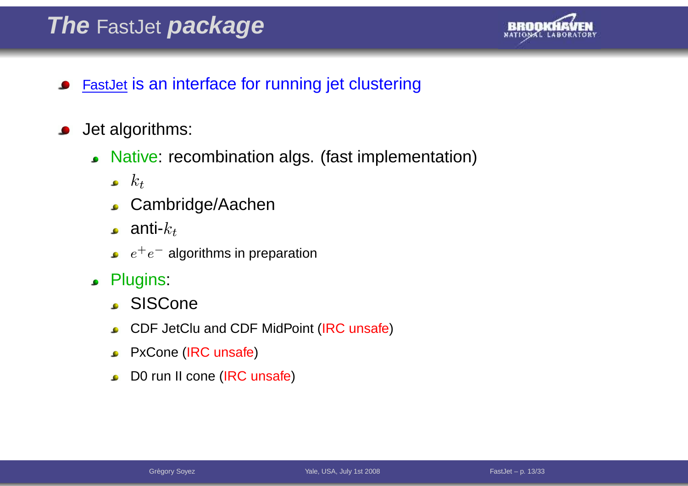# **The** FastJet **package**



- FastJet is an interface for running jet clustering
- Jet algorithms:
	- Native: recombination algs. (fast implementation)
		- $k_t$
		- Cambridge/Aachen
		- **.** anti- $k_t$
		- $e^+e^-$  algorithms in preparation
	- Plugins:
		- SISCone
		- CDF JetClu and CDF MidPoint (IRC unsafe)
		- PxCone (IRC unsafe)
		- D0 run II cone (IRC unsafe)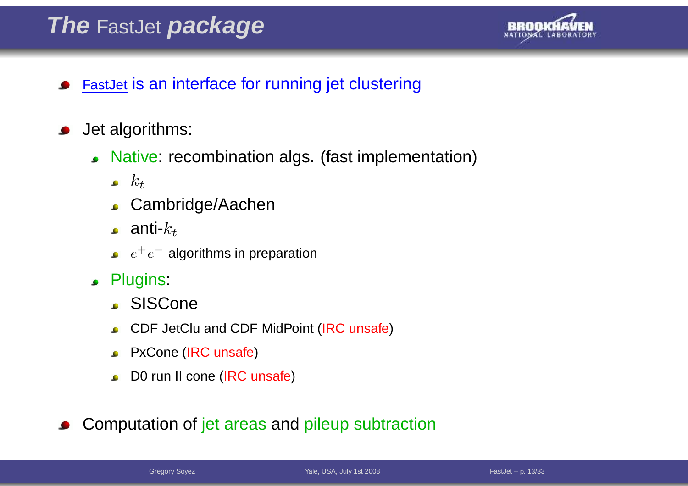# **The** FastJet **package**



- FastJet is an interface for running jet clustering
- Jet algorithms:
	- Native: recombination algs. (fast implementation)
		- $k_t$
		- Cambridge/Aachen
		- **.** anti- $k_t$
		- $e^+e^-$  algorithms in preparation
	- Plugins:
		- SISCone
		- CDF JetClu and CDF MidPoint (IRC unsafe)
		- PxCone (IRC unsafe)
		- **DO** run II cone (IRC unsafe)

Computation of jet areas and pileup subtraction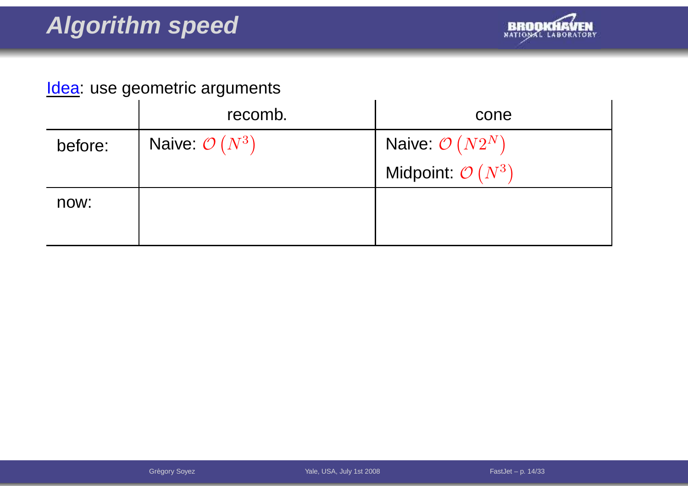

|         | recomb.                   | cone                         |
|---------|---------------------------|------------------------------|
| before: | Naive: $\mathcal{O}(N^3)$ | Naive: $\mathcal{O}(N2^N)$   |
|         |                           | Midpoint: $\mathcal{O}(N^3)$ |
| now:    |                           |                              |
|         |                           |                              |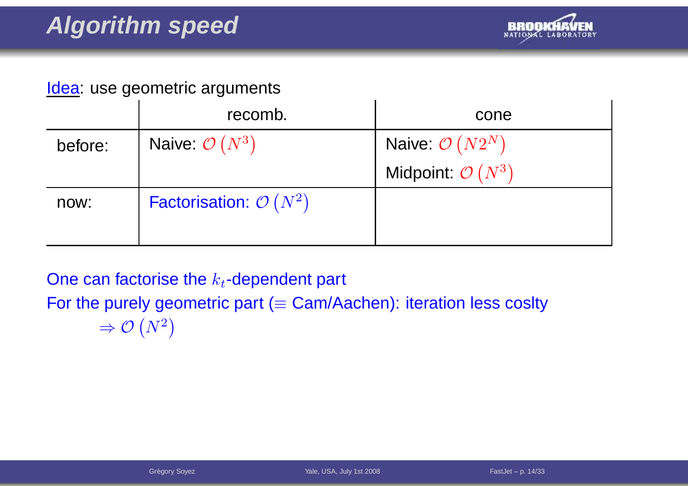

|         | recomb.                           | cone                         |
|---------|-----------------------------------|------------------------------|
| before: | Naive: $\mathcal{O}(N^3)$         | Naive: $\mathcal{O}(N2^N)$   |
|         |                                   | Midpoint: $\mathcal{O}(N^3)$ |
| now:    | Factorisation: $\mathcal{O}(N^2)$ |                              |
|         |                                   |                              |

One can factorise the  $k_t\text{-dependent part}$ 

For the purely geometric part ( $\equiv$  Cam/Aachen): iteration less coslty

$$
\Rightarrow \mathcal{O}\left(N^2\right)
$$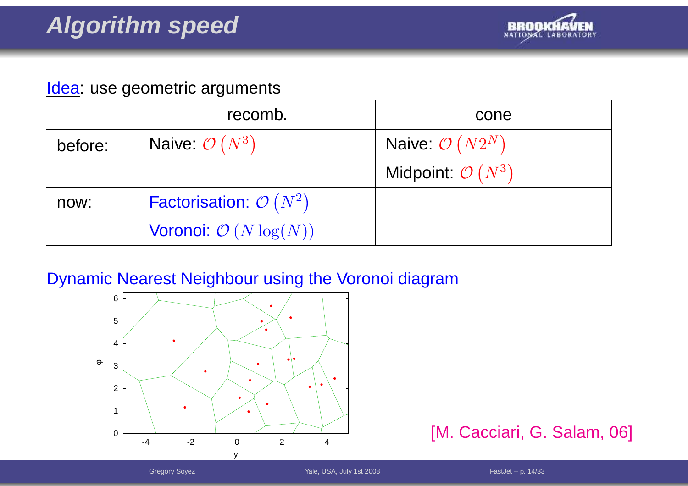

|         | recomb.                           | cone                         |
|---------|-----------------------------------|------------------------------|
| before: | Naive: $\mathcal{O}(N^3)$         | Naive: $\mathcal{O}(N2^N)$   |
|         |                                   | Midpoint: $\mathcal{O}(N^3)$ |
| now:    | Factorisation: $\mathcal{O}(N^2)$ |                              |
|         | Voronoi: $\mathcal{O}(N \log(N))$ |                              |

#### Dynamic Nearest Neighbour using the Voronoi diagram



#### [M. Cacciari, G. Salam, 06]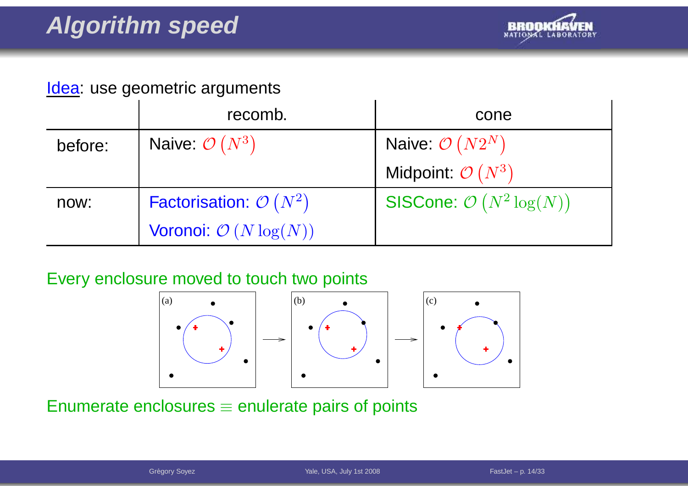

|         | recomb.                           | cone                                       |
|---------|-----------------------------------|--------------------------------------------|
| before: | Naive: $\mathcal{O}(N^3)$         | Naive: $\mathcal{O}(N2^N)$                 |
|         |                                   | Midpoint: $\mathcal{O}(N^3)$               |
| now:    | Factorisation: $\mathcal{O}(N^2)$ | <b>SISCone:</b> $\mathcal{O}(N^2 \log(N))$ |
|         | Voronoi: $\mathcal{O}(N \log(N))$ |                                            |

#### Every enclosure moved to touch two points





Enumerate enclosures  $\equiv$  enulerate pairs of points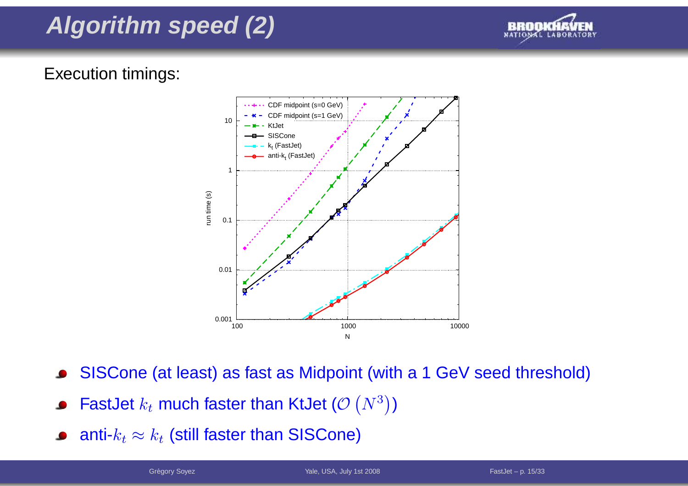## **Algorithm speed (2)**



#### Execution timings:



- SISCone (at least) as fast as Midpoint (with <sup>a</sup> <sup>1</sup> GeV seed threshold)
- FastJet  $k_t$  much faster than KtJet ( $\mathcal{O} \left( N^3 \right)$  $^3))$
- anti- $k_t\approx k_t$  (still faster than SISCone)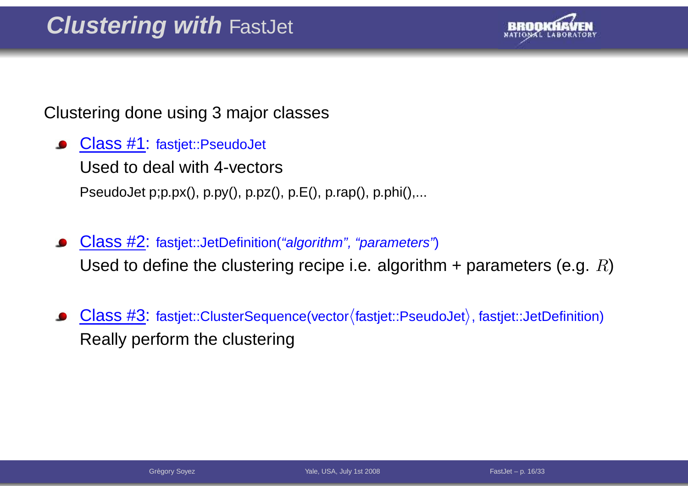

Clustering done using 3 major classes

- Class #1: fastjet::PseudoJet Used to deal with 4-vectorsPseudoJet p;p.px(), p.py(), p.pz(), p.E(), p.rap(), p.phi(),...
- Class #2: fastjet::JetDefinition("algorithm", "parameters")  $\bullet$ Used to define the clustering recipe i.e. algorithm + parameters (e.g.  $R$ )
- Class  $#3:$  fastjet::ClusterSequence(vector $\langle$ fastjet::PseudoJet $\rangle$ , fastjet::JetDefinition) Really perform the clustering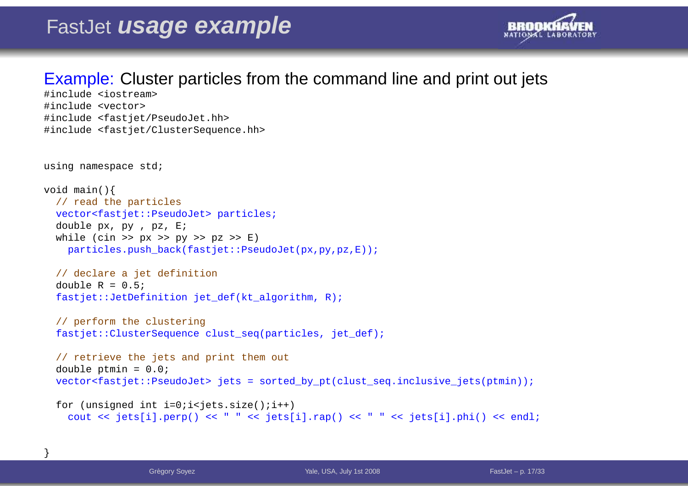

#### Example: Cluster particles from the command line and print out jets

```
#include <iostream>
#include <vector>
#include <fastjet/PseudoJet.hh>
#include <fastjet/ClusterSequence.hh>
```

```
using namespace std;
```
}

```
void main(){
  // read the particles
 vector<fastjet::PseudoJet> particles;
  double px, py , pz, E;
 while (cin >> px >> py >> pz >> E)
   particles.push_back(fastjet::PseudoJet(px,py,pz,E));// declare a jet definition
  double R = 0.5;
  fastjet::JetDefinition jet def(kt algorithm, R);
```

```
// perform the clustering
fastjet::ClusterSequence clust_seq(particles, jet_def);
```

```
// retrieve the jets and print them out
double ptmin = 0.0;
vector<fastjet::PseudoJet> jets = sorted_by_pt(clust_seq.inclusive_jets(ptmin));
```

```
for (unsigned int i=0;i<jets.size();i++)
  cout << jets[i].perp() << " " << jets[i].rap() << " " << jets[i].phi() << endl;
```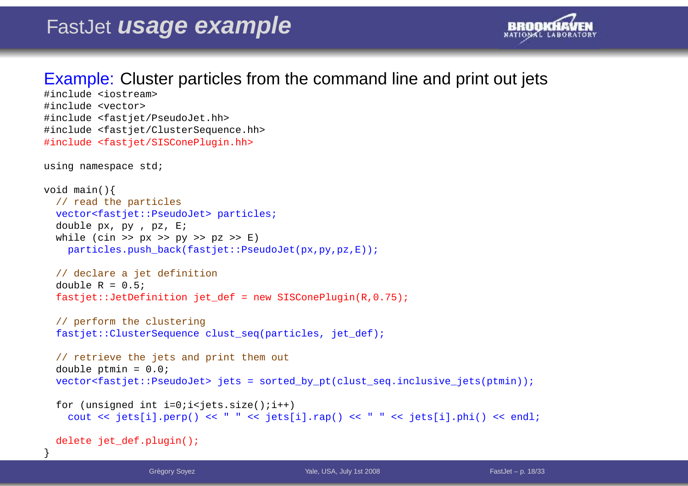

#### Example: Cluster particles from the command line and print out jets

```
#include <iostream>
#include <vector>
#include <fastjet/PseudoJet.hh>
#include <fastjet/ClusterSequence.hh>
#include <fastjet/SISConePlugin.hh>
using namespace std;
void main(){
  // read the particles
 vector<fastjet::PseudoJet> particles;
  double px, py , pz, E;
 while (cin >> px >> py >> pz >> E)
   particles.push_back(fastjet::PseudoJet(px,py,pz,E));// declare a jet definition
  double R = 0.5;
  fastjet::JetDefinition jet def = new SISConePlugin(R,0.75);
  // perform the clustering
  fastjet::ClusterSequence clust_seq(particles, jet_def);
  // retrieve the jets and print them out
  double ptmin = 0.0;
  vector<fastjet::PseudoJet> jets = sorted_by_pt(clust_seq.inclusive_jets(ptmin));
  for (unsigned int i=0;i<jets.size();i++)
    cout << jets[i].perp() << " " << jets[i].rap() << " " << jets[i].phi() << endl;
 delete jet_def.plugin();
```
}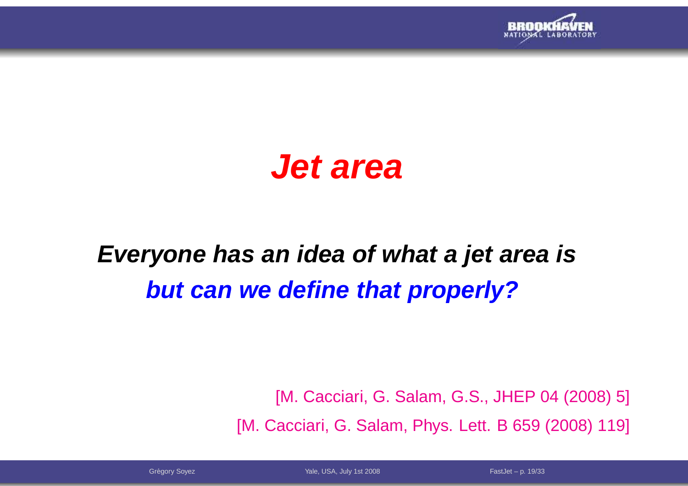

# **Jet area**

# **Everyone has an idea of what <sup>a</sup> jet area isbut can we define that properly?**

[M. Cacciari, G. Salam, G.S., JHEP 04 (2008) 5] [M. Cacciari, G. Salam, Phys. Lett. B 659 (2008) 119]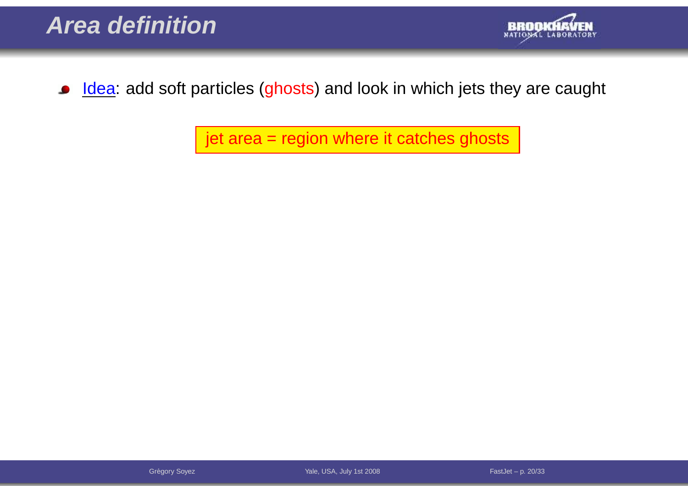

Idea: add soft particles (ghosts) and look in which jets they are caught  $\bullet$ 

jet area <sup>=</sup> region where it catches ghosts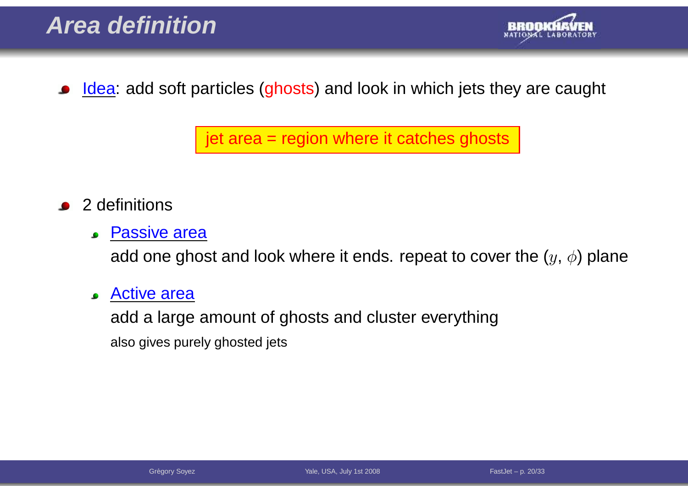

Idea: add soft particles (ghosts) and look in which jets they are caught

jet area <sup>=</sup> region where it catches ghosts

- <sup>2</sup> definitions
	- **Passive area**

add one ghost and look where it ends. repeat to cover the  $(y, \phi)$  plane

Active area $\bullet$ 

> add <sup>a</sup> large amount of ghosts and cluster everythingalso gives purely ghosted jets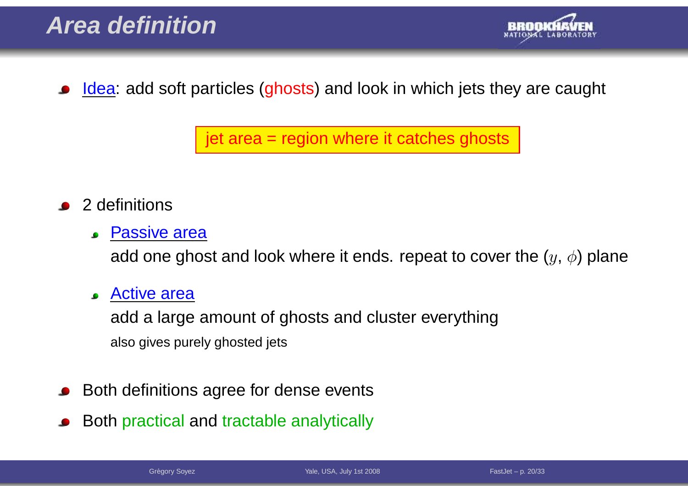

Idea: add soft particles (ghosts) and look in which jets they are caught

jet area <sup>=</sup> region where it catches ghosts

- <sup>2</sup> definitions
	- **Passive area**

add one ghost and look where it ends. repeat to cover the  $(y, \phi)$  plane

**Active area** 

add <sup>a</sup> large amount of ghosts and cluster everythingalso gives purely ghosted jets

- Both definitions agree for dense events
- Both practical and tractable analytically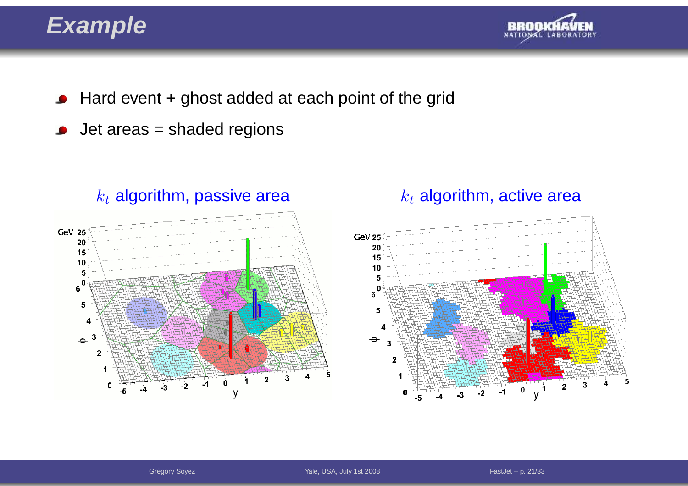### **Example**



- Hard event <sup>+</sup> ghost added at each point of the grid $\bullet$
- Jet areas <sup>=</sup> shaded regions $\bullet$



#### $k_{t}% =\sum_{i=1}^{n}a_{i}\left( t\right) \left\vert \mathcal{A}\right\vert$  algorithm, passive area

#### $k_t$  algorithm, active area

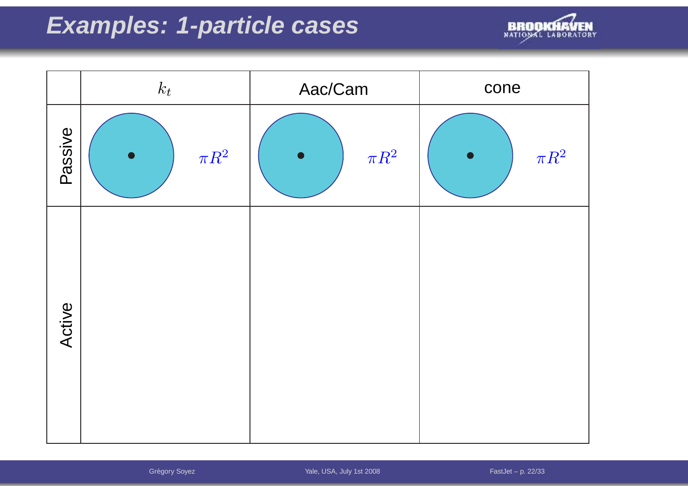## **Examples: 1-particle cases**



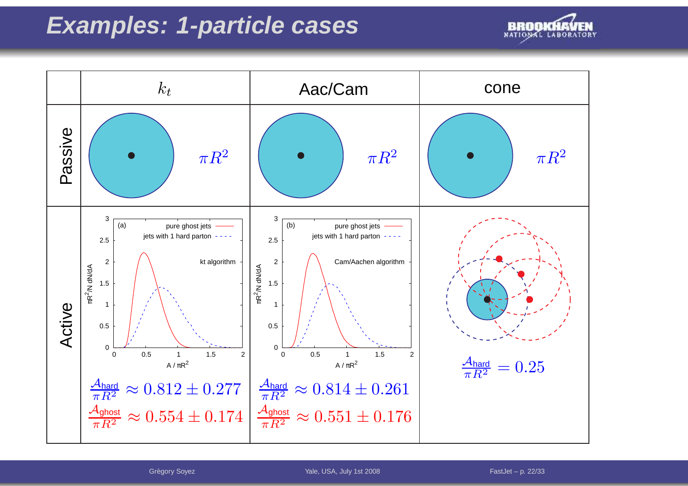### **Examples: 1-particle cases**





Grégory Soyez The Communication of the Vale, USA, July 1st 2008 The Communication of the FastJet – p. 22/33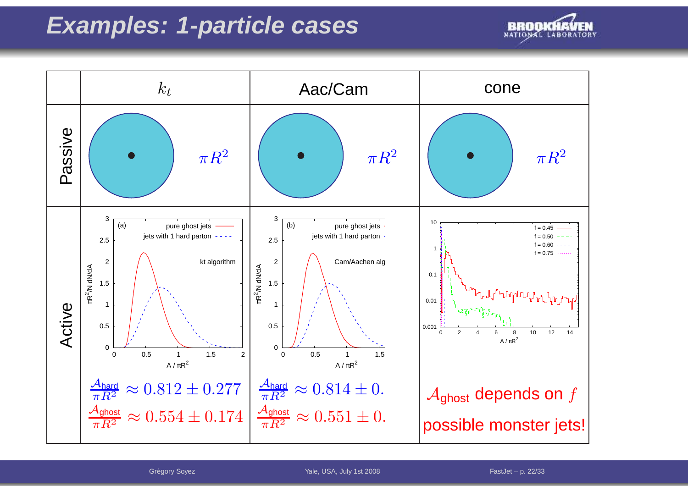### **Examples: 1-particle cases**





Grégory Soyez The Communication of the Vale, USA, July 1st 2008 The Communication of the FastJet – p. 22/33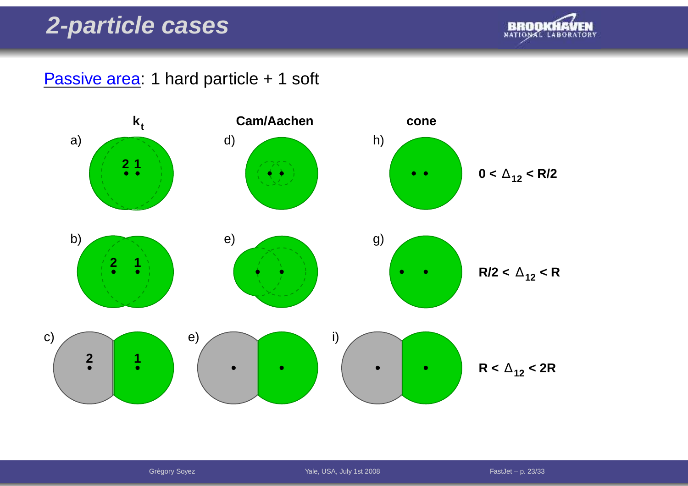#### **2-particle cases**



Passive area: 1 hard particle + 1 soft



Grégory Soyez The Communication of the Vale, USA, July 1st 2008 The Communication of the FastJet – p. 23/33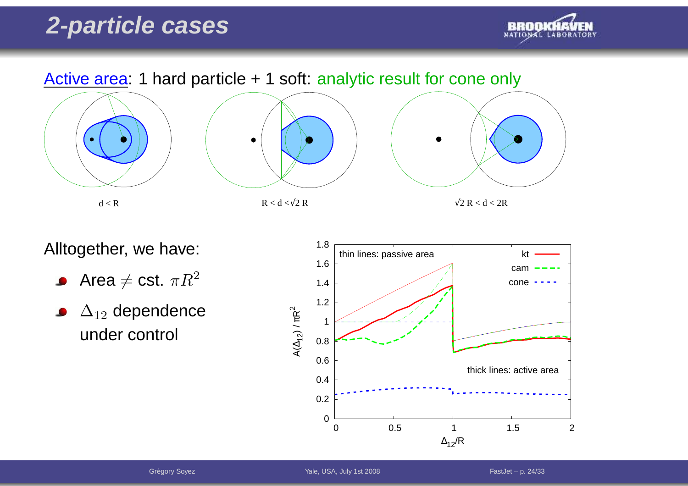### **2-particle cases**





Alltogether, we have:

- Area  $\neq$  cst.  $\pi R^2$  $\bullet$
- $\Delta_{12}$  dependence  $\bullet$ under control

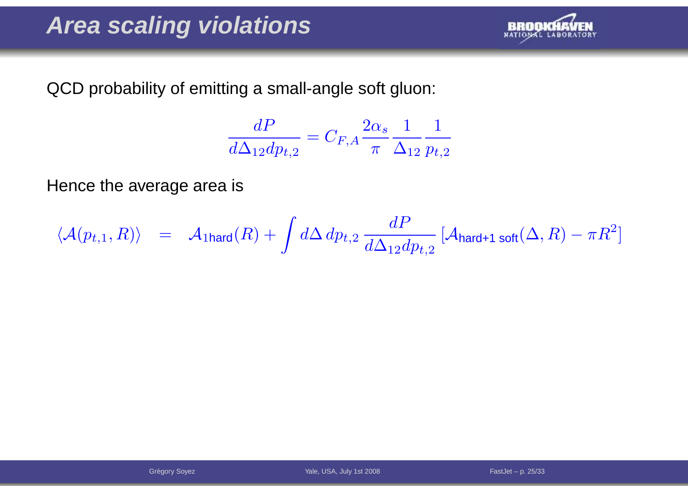

QCD probability of emitting <sup>a</sup> small-angle soft gluon:

$$
\frac{dP}{d\Delta_{12}dp_{t,2}} = C_{F,A} \frac{2\alpha_s}{\pi} \frac{1}{\Delta_{12}} \frac{1}{p_{t,2}}
$$

Hence the average area is

$$
\langle \mathcal{A}(p_{t,1},R) \rangle \quad = \quad \mathcal{A}_{\text{1hard}}(R) + \int d\Delta \, dp_{t,2} \, \frac{dP}{d\Delta_{12} dp_{t,2}} \, [\mathcal{A}_{\text{hard+1 soft}}(\Delta,R) - \pi R^2]
$$

Grégory Soyez The Communication of the Vale, USA, July 1st 2008 The Communication of the FastJet – p. 25/33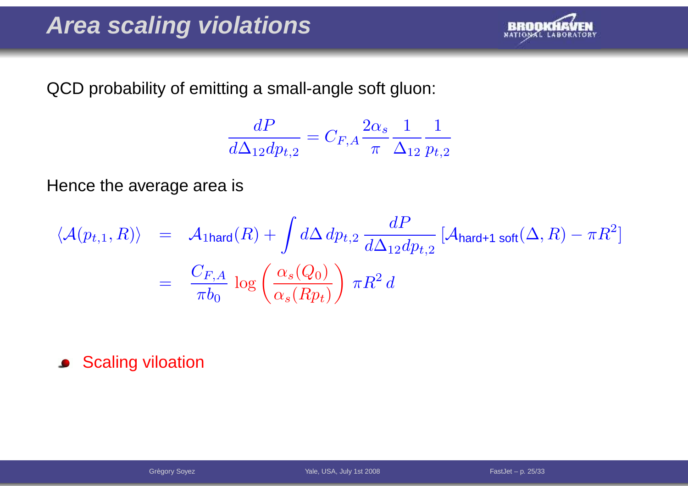

QCD probability of emitting <sup>a</sup> small-angle soft gluon:

$$
\frac{dP}{d\Delta_{12}dp_{t,2}} = C_{F,A} \frac{2\alpha_s}{\pi} \frac{1}{\Delta_{12}} \frac{1}{p_{t,2}}
$$

Hence the average area is

$$
\langle \mathcal{A}(p_{t,1}, R) \rangle = \mathcal{A}_{\text{1hard}}(R) + \int d\Delta dp_{t,2} \frac{dP}{d\Delta_{12} dp_{t,2}} [\mathcal{A}_{\text{hard+1 soft}}(\Delta, R) - \pi R^2]
$$

$$
= \frac{C_{F,A}}{\pi b_0} \log \left( \frac{\alpha_s(Q_0)}{\alpha_s(Rp_t)} \right) \pi R^2 d
$$

**Scaling viloation**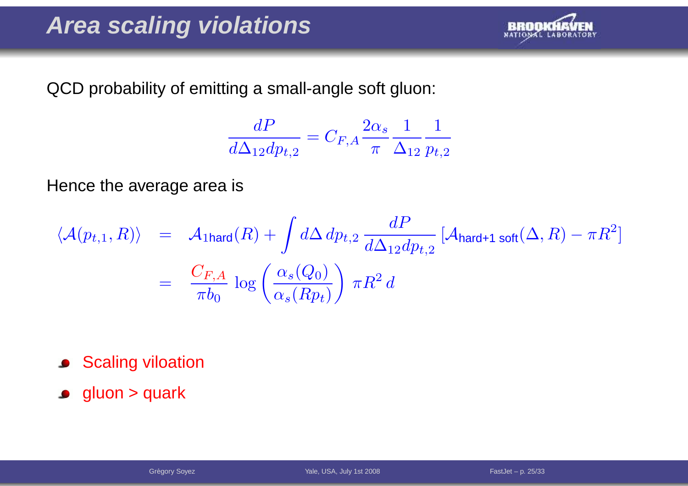

QCD probability of emitting <sup>a</sup> small-angle soft gluon:

$$
\frac{dP}{d\Delta_{12}dp_{t,2}} = C_{F,A} \frac{2\alpha_s}{\pi} \frac{1}{\Delta_{12}} \frac{1}{p_{t,2}}
$$

Hence the average area is

$$
\langle \mathcal{A}(p_{t,1}, R) \rangle = \mathcal{A}_{\text{1hard}}(R) + \int d\Delta dp_{t,2} \frac{dP}{d\Delta_{12} dp_{t,2}} [\mathcal{A}_{\text{hard+1 soft}}(\Delta, R) - \pi R^2]
$$
  
= 
$$
\frac{C_{F,A}}{\pi b_0} \log \left( \frac{\alpha_s(Q_0)}{\alpha_s(Rp_t)} \right) \pi R^2 d
$$

- **Scaling viloation**
- **gluon > quark**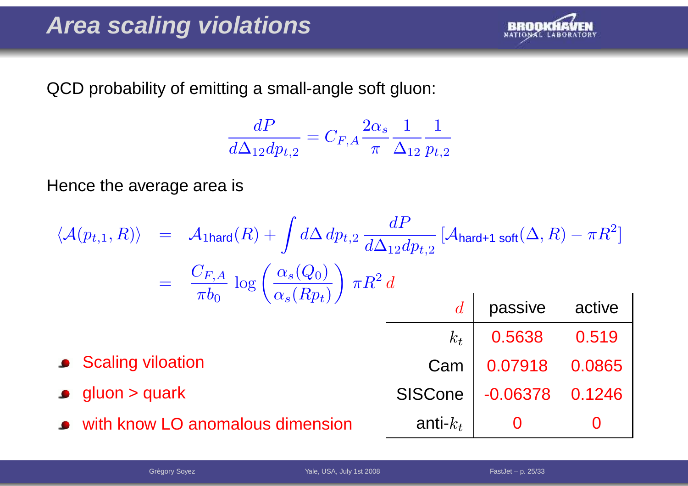

QCD probability of emitting <sup>a</sup> small-angle soft gluon:

$$
\frac{dP}{d\Delta_{12}dp_{t,2}} = C_{F,A} \frac{2\alpha_s}{\pi} \frac{1}{\Delta_{12}} \frac{1}{p_{t,2}}
$$

Hence the average area is

$$
\langle A(p_{t,1}, R) \rangle = A_{1 \text{hard}}(R) + \int d\Delta dp_{t,2} \frac{dP}{d\Delta_{12} dp_{t,2}} \left[ A_{\text{hard}+1 \text{ soft}}(\Delta, R) - \pi R^2 \right]
$$
  
\n
$$
= \frac{C_{F,A}}{\pi b_0} \log \left( \frac{\alpha_s(Q_0)}{\alpha_s(Rp_t)} \right) \pi R^2 d
$$
  
\nd *passive active*  
\n $k_t$  0.5638 0.519  
\n9.07918 0.0865  
\n9.0000 > quark  
\n1.007918 0.0865  
\n1.007918 0.0865  
\n1.007918 0.0865  
\n1.006378 0.1246  
\n2.006378 0.1246  
\n3.00695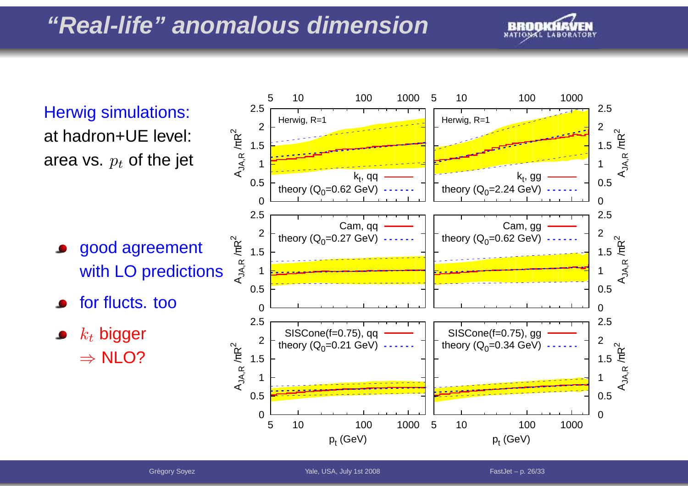### **"Real-life" anomalous dimension**



Herwig simulations: at hadron+UE level: area vs.  $\emph{p}_{t}$  of the jet

good agreement with LO predictions

for flucts. too

 $k_t$  bigger  $\Rightarrow$  NLO?

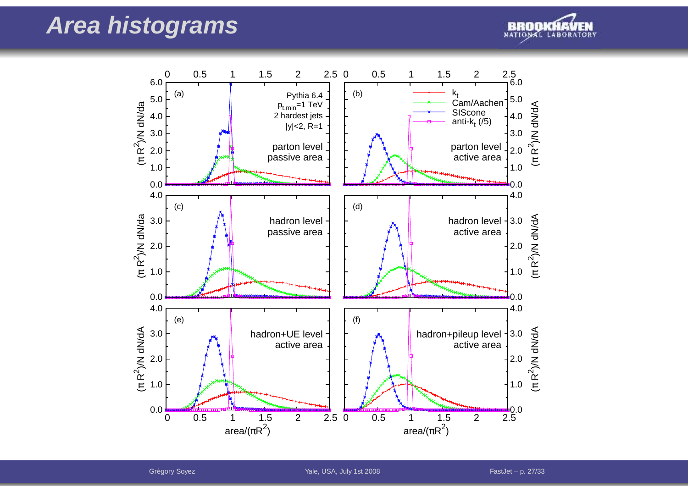### **Area histograms**



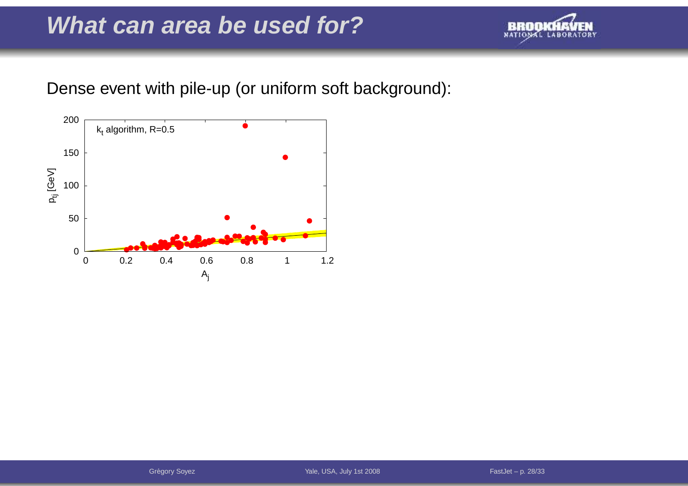### **What can area be used for?**



Dense event with pile-up (or uniform soft background):

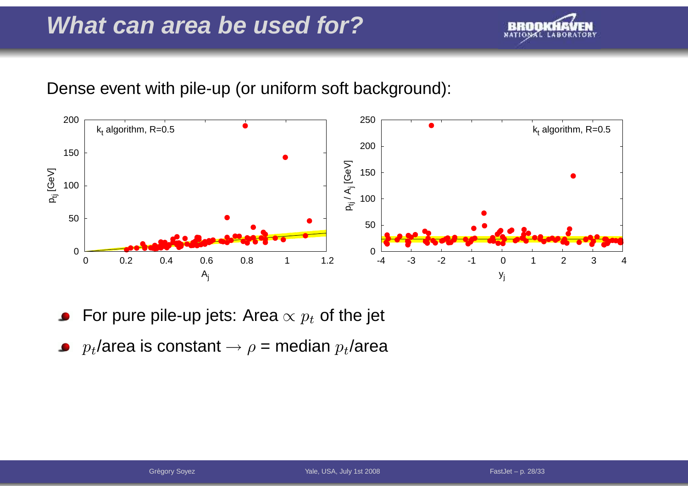### **What can area be used for?**



#### Dense event with pile-up (or uniform soft background):



- For pure pile-up jets: Area  $\propto p_t$  of the jet
- $p_t$ /area is constant  $\rightarrow \rho$  = median  $p_t$ /area  $\bullet$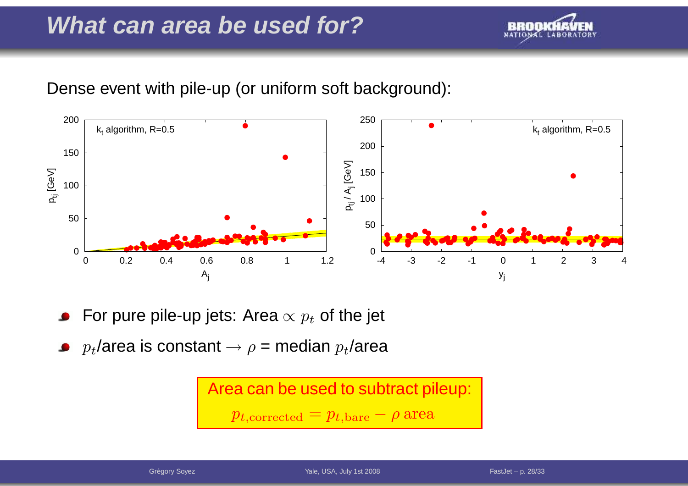### **What can area be used for?**



#### Dense event with pile-up (or uniform soft background):



- For pure pile-up jets: Area  $\propto p_t$  of the jet
- $p_t$ /area is constant  $\rightarrow \rho$  = median  $p_t$ /area

Area can be used to subtract pileup:  $p_{t,{\rm corrected}}=p_{t,{\rm bare}}-\rho$  area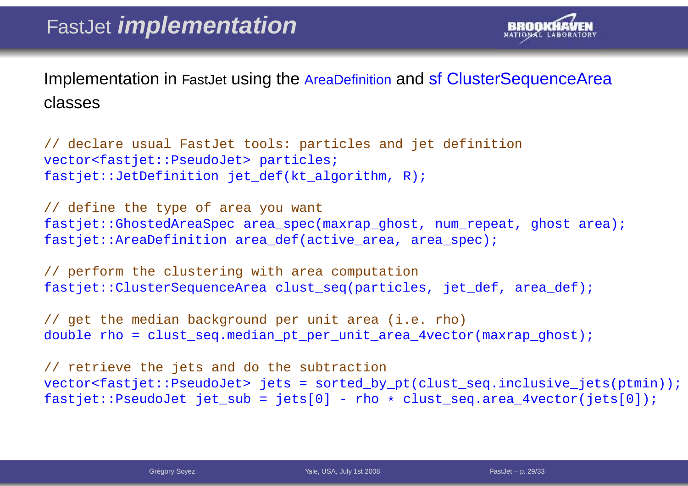

Implementation in FastJet using the AreaDefinition and sf ClusterSequenceArea classes

// declare usual FastJet tools: particles and jet definition vector<fastjet::PseudoJet> particles; fastjet::JetDefinition jet\_def(kt\_algorithm, R);

// define the type of area you want fastjet::GhostedAreaSpec area spec(maxrap qhost, num repeat, ghost area); fastjet::AreaDefinition area def(active area, area spec);

// perform the clustering with area computation fastjet::ClusterSequenceArea clust seq(particles, jet def, area def);

// get the median background per unit area (i.e. rho) double rho = clust seq.median pt per unit area 4vector(maxrap ghost);

// retrieve the jets and do the subtraction vector<fastjet::PseudoJet> jets <sup>=</sup> sorted\_by\_pt(clust\_seq.inclusive\_jets(ptmin)); fastjet::PseudoJet jet\_sub <sup>=</sup> jets[0] - rho \* clust\_seq.area\_4vector(jets[0]);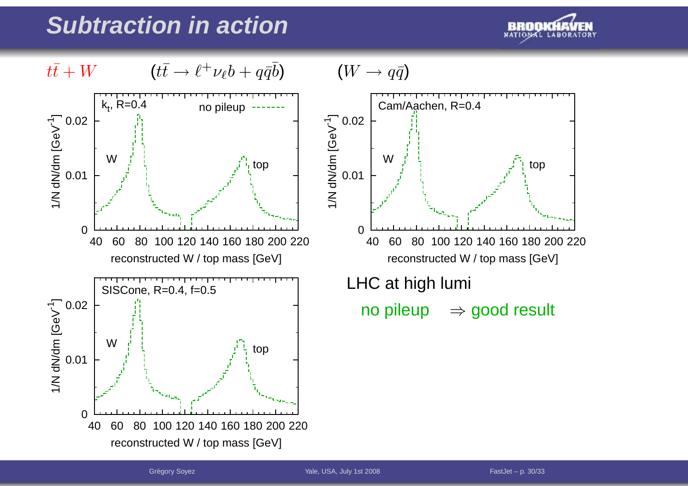

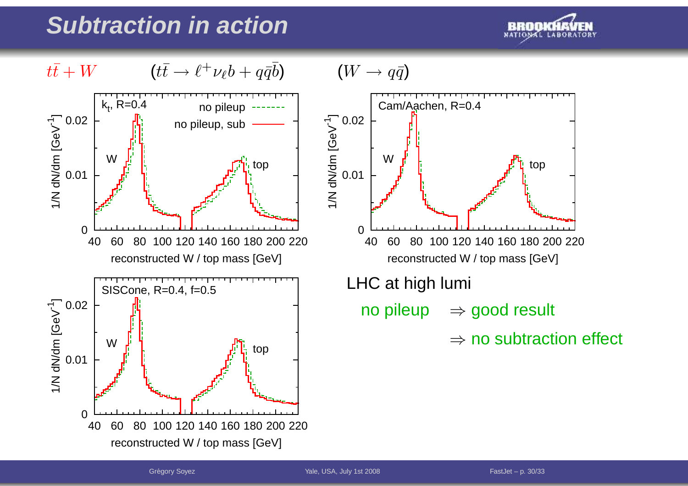

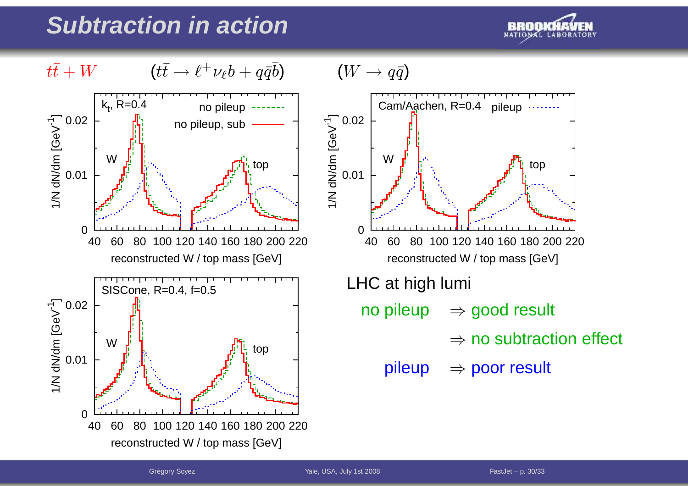

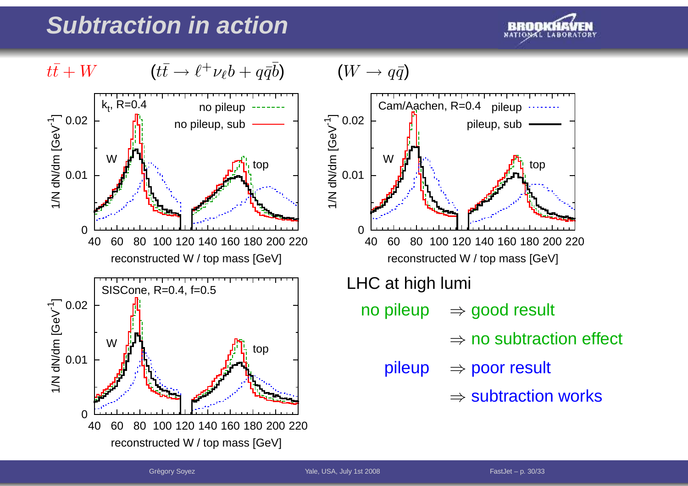

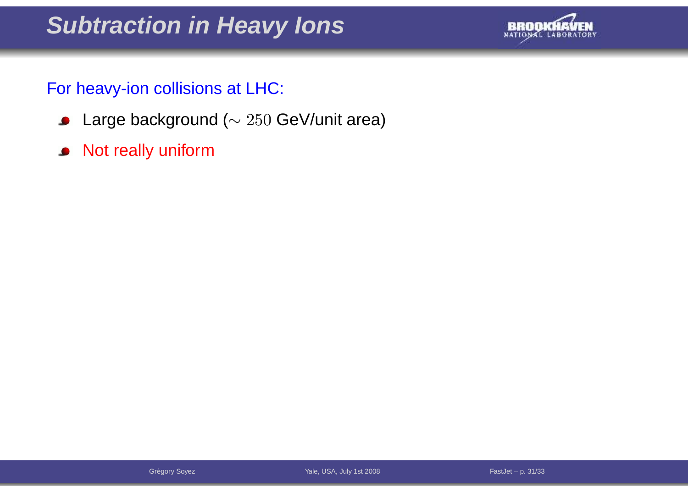### **Subtraction in Heavy Ions**



#### For heavy-ion collisions at LHC:

- Large background ( $\sim 250$  GeV/unit area)
- Not really uniform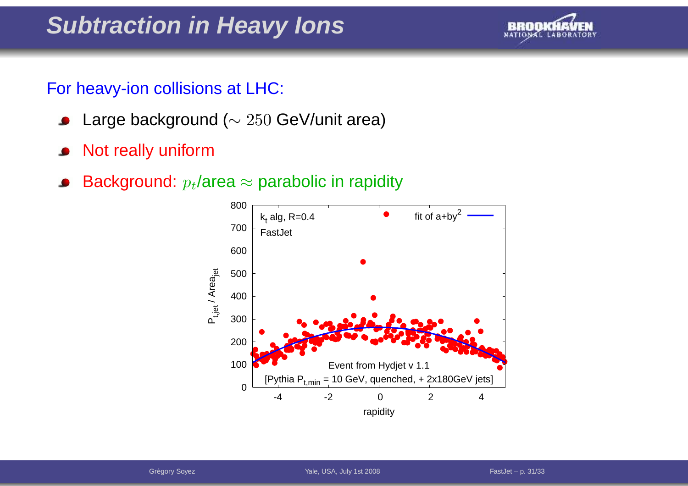### **Subtraction in Heavy Ions**



#### For heavy-ion collisions at LHC:

- Large background ( $\sim 250$  GeV/unit area)  $\bullet$
- Not really uniform $\bullet$
- Background:  $p_t$ /area  $\approx$  parabolic in rapidity

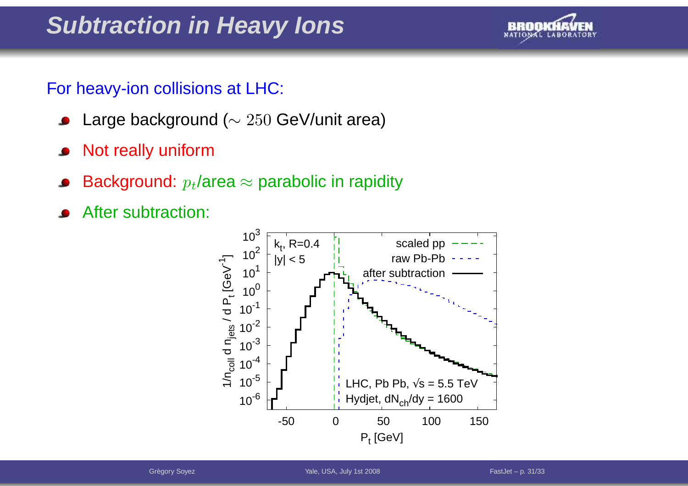### **Subtraction in Heavy Ions**



#### For heavy-ion collisions at LHC:

- Large background ( $\sim 250$  GeV/unit area)  $\bullet$
- Not really uniform $\bullet$
- Background:  $p_t$ /area  $\approx$  parabolic in rapidity
- After subtraction:

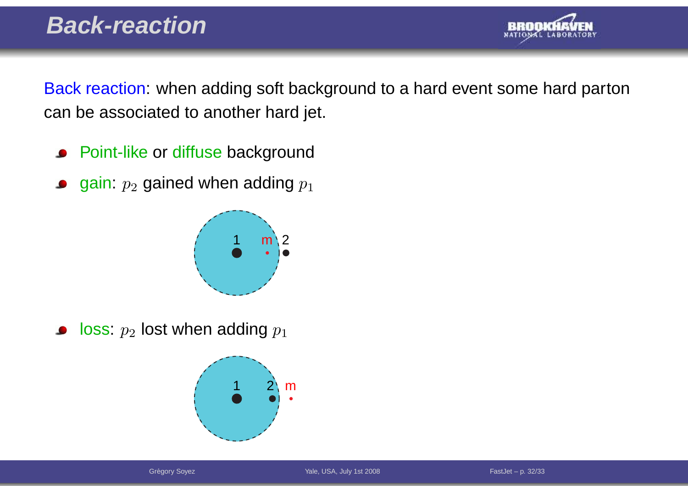

Back reaction: when adding soft background to <sup>a</sup> hard event some hard partoncan be associated to another hard jet.

- Point-like or diffuse background
- gain:  $p_2$  gained when adding  $p_1$



loss:  $p_2$  lost when adding  $p_1$  $\bullet$ 

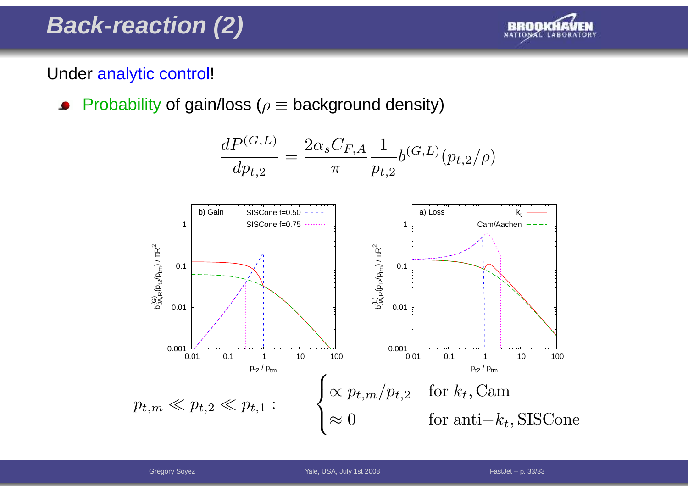### **Back-reaction (2)**



#### Under <mark>analytic control</mark>!

Probability of gain/loss ( $\rho\equiv$  background density)  $\bullet$ 

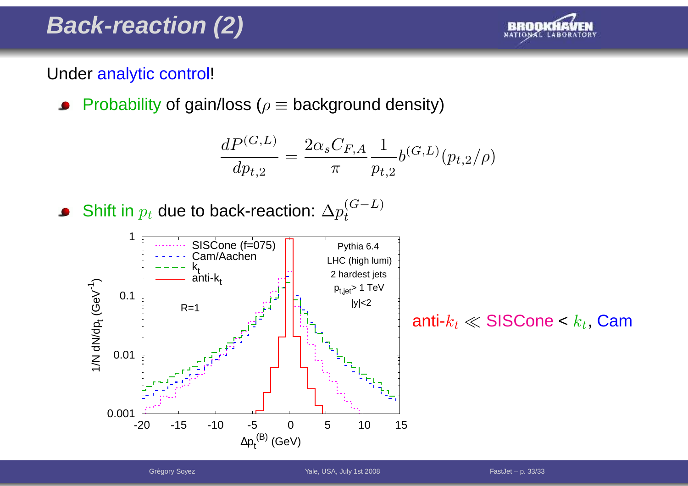### **Back-reaction (2)**



#### Under <mark>analytic control</mark>!

Probability of gain/loss ( $\rho\equiv$  background density)  $\bullet$ 

$$
\frac{dP^{(G,L)}}{dp_{t,2}} = \frac{2\alpha_s C_{F,A}}{\pi} \frac{1}{p_{t,2}} b^{(G,L)}(p_{t,2}/\rho)
$$

● Shift in 
$$
p_t
$$
 due to back-reaction:  $\Delta p_t^{(G-L)}$ 



anti- $k_t\ll \mathsf{SISCone} < k_t$ , Cam